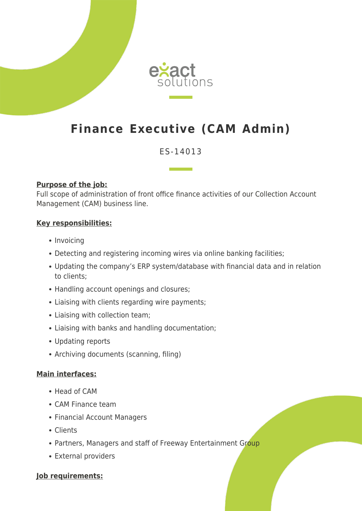

# **Finance Executive (CAM Admin)**

## ES-14013

#### **Purpose of the job:**

Full scope of administration of front office finance activities of our Collection Account Management (CAM) business line.

#### **Key responsibilities:**

- Invoicing
- Detecting and registering incoming wires via online banking facilities;
- Updating the company's ERP system/database with financial data and in relation to clients;
- Handling account openings and closures;
- Liaising with clients regarding wire payments;
- Liaising with collection team;
- Liaising with banks and handling documentation;
- Updating reports
- Archiving documents (scanning, filing)

#### **Main interfaces:**

- Head of CAM
- CAM Finance team
- Financial Account Managers
- Clients
- Partners, Managers and staff of Freeway Entertainment Group
- External providers

#### **Job requirements:**